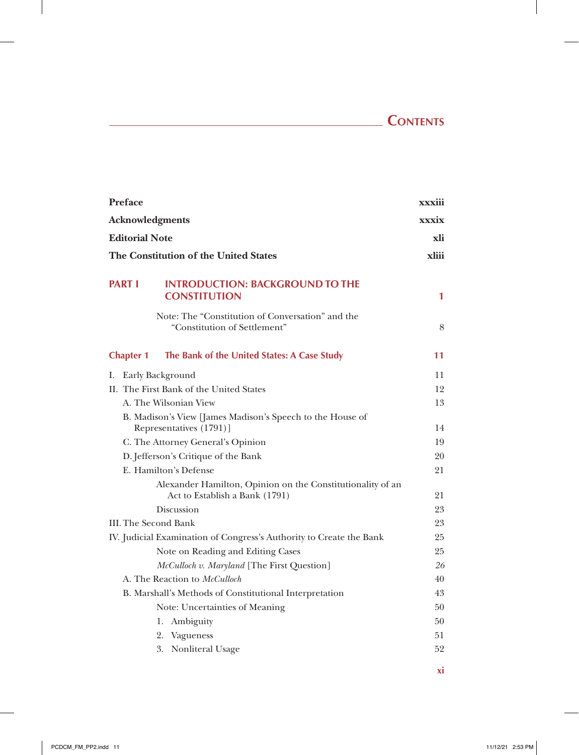## **CONTENTS**

 $\frac{1}{2}$ 

| <b>Preface</b>   |                                                                                              | xxxiii       |
|------------------|----------------------------------------------------------------------------------------------|--------------|
|                  | Acknowledgments                                                                              | <b>xxxix</b> |
|                  | <b>Editorial Note</b>                                                                        | xli          |
|                  | The Constitution of the United States                                                        | xliii        |
| <b>PART I</b>    | <b>INTRODUCTION: BACKGROUND TO THE</b><br><b>CONSTITUTION</b>                                | 1            |
|                  | Note: The "Constitution of Conversation" and the<br>"Constitution of Settlement"             | 8            |
| <b>Chapter 1</b> | The Bank of the United States: A Case Study                                                  | 11           |
|                  | I. Early Background                                                                          | 11           |
|                  | II. The First Bank of the United States                                                      | 12           |
|                  | A. The Wilsonian View                                                                        | 13           |
|                  | B. Madison's View [James Madison's Speech to the House of<br>Representatives (1791)]         | 14           |
|                  | C. The Attorney General's Opinion                                                            | 19           |
|                  | D. Jefferson's Critique of the Bank                                                          | 20           |
|                  | E. Hamilton's Defense                                                                        | 21           |
|                  | Alexander Hamilton, Opinion on the Constitutionality of an<br>Act to Establish a Bank (1791) | 21           |
|                  | Discussion                                                                                   | 23           |
|                  | III. The Second Bank                                                                         | 23           |
|                  | IV. Judicial Examination of Congress's Authority to Create the Bank                          | 25           |
|                  | Note on Reading and Editing Cases                                                            | 25           |
|                  | McCulloch v. Maryland [The First Question]                                                   | 26           |
|                  | A. The Reaction to McCulloch                                                                 | 40           |
|                  | B. Marshall's Methods of Constitutional Interpretation                                       | 43           |
|                  | Note: Uncertainties of Meaning                                                               | 50           |
|                  | 1. Ambiguity                                                                                 | 50           |
|                  | 2.<br>Vagueness                                                                              | 51           |
|                  | 3. Nonliteral Usage                                                                          | 52           |
|                  |                                                                                              | хi           |

 $\mathbf{r}$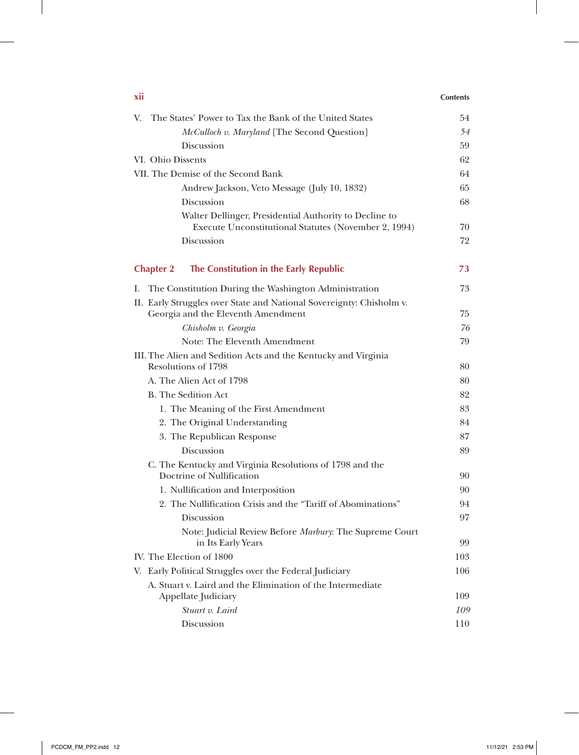| XII                                                                                   | <b>Contents</b> |
|---------------------------------------------------------------------------------------|-----------------|
| The States' Power to Tax the Bank of the United States<br>V.                          | 54              |
| <i>McCulloch v. Maryland</i> [The Second Question]                                    | 54              |
| Discussion                                                                            | 59              |
| VI. Ohio Dissents                                                                     | 62              |
| VII. The Demise of the Second Bank                                                    | 64              |
| Andrew Jackson, Veto Message (July 10, 1832)                                          | 65              |
| Discussion                                                                            | 68              |
| Walter Dellinger, Presidential Authority to Decline to                                |                 |
| Execute Unconstitutional Statutes (November 2, 1994)                                  | 70              |
| Discussion                                                                            | 72              |
| The Constitution in the Early Republic<br><b>Chapter 2</b>                            | 73              |
| The Constitution During the Washington Administration<br>I.                           | 73              |
| II. Early Struggles over State and National Sovereignty: Chisholm v.                  |                 |
| Georgia and the Eleventh Amendment                                                    | 75              |
| Chisholm v. Georgia                                                                   | 76              |
| Note: The Eleventh Amendment                                                          | 79              |
| III. The Alien and Sedition Acts and the Kentucky and Virginia                        |                 |
| Resolutions of 1798                                                                   | 80              |
| A. The Alien Act of 1798                                                              | 80              |
| <b>B.</b> The Sedition Act                                                            | 82              |
| 1. The Meaning of the First Amendment                                                 | 83              |
| 2. The Original Understanding                                                         | 84              |
| 3. The Republican Response                                                            | 87              |
| Discussion                                                                            | 89              |
| C. The Kentucky and Virginia Resolutions of 1798 and the<br>Doctrine of Nullification | 90              |
| 1. Nullification and Interposition                                                    | 90              |
| 2. The Nullification Crisis and the "Tariff of Abominations"                          | 94              |
| Discussion                                                                            | 97              |
| Note: Judicial Review Before Marbury: The Supreme Court                               |                 |
| in Its Early Years                                                                    | 99              |
| IV. The Election of 1800                                                              | 103             |
| V. Early Political Struggles over the Federal Judiciary                               | 106             |
| A. Stuart v. Laird and the Elimination of the Intermediate                            |                 |
| Appellate Judiciary                                                                   | 109             |
| Stuart v. Laird                                                                       | 109             |
| Discussion                                                                            | 110             |

 $\mathbf{I}$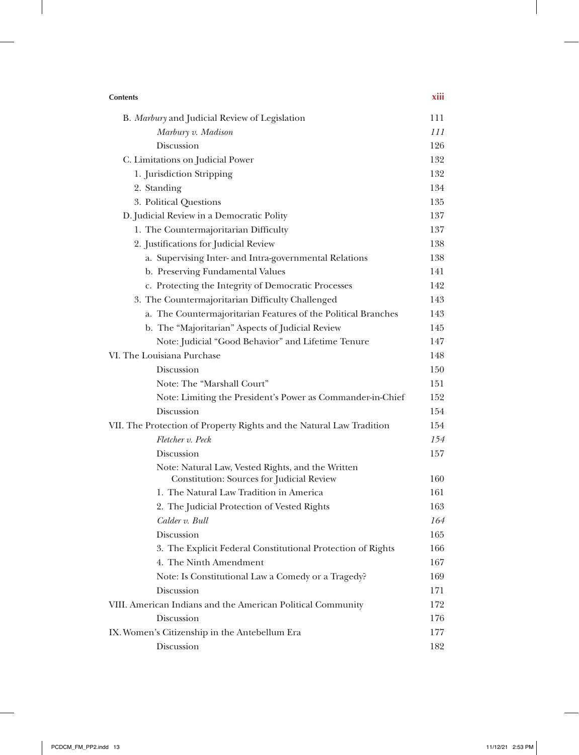| <b>Contents</b>                                                      | xiii |
|----------------------------------------------------------------------|------|
| B. Marbury and Judicial Review of Legislation                        | 111  |
| Marbury v. Madison                                                   | 111  |
| Discussion                                                           | 126  |
| C. Limitations on Judicial Power                                     | 132  |
| 1. Jurisdiction Stripping                                            | 132  |
| 2. Standing                                                          | 134  |
| 3. Political Questions                                               | 135  |
| D. Judicial Review in a Democratic Polity                            | 137  |
| 1. The Countermajoritarian Difficulty                                | 137  |
| 2. Justifications for Judicial Review                                | 138  |
| a. Supervising Inter- and Intra-governmental Relations               | 138  |
| b. Preserving Fundamental Values                                     | 141  |
| c. Protecting the Integrity of Democratic Processes                  | 142  |
| 3. The Countermajoritarian Difficulty Challenged                     | 143  |
| a. The Countermajoritarian Features of the Political Branches        | 143  |
| b. The "Majoritarian" Aspects of Judicial Review                     | 145  |
| Note: Judicial "Good Behavior" and Lifetime Tenure                   | 147  |
| VI. The Louisiana Purchase                                           | 148  |
| Discussion                                                           | 150  |
| Note: The "Marshall Court"                                           | 151  |
| Note: Limiting the President's Power as Commander-in-Chief           | 152  |
| Discussion                                                           | 154  |
| VII. The Protection of Property Rights and the Natural Law Tradition | 154  |
| Fletcher v. Peck                                                     | 154  |
| Discussion                                                           | 157  |
| Note: Natural Law, Vested Rights, and the Written                    |      |
| Constitution: Sources for Judicial Review                            | 160  |
| 1. The Natural Law Tradition in America                              | 161  |
| 2. The Judicial Protection of Vested Rights                          | 163  |
| Calder v. Bull                                                       | 164  |
| Discussion                                                           | 165  |
| 3. The Explicit Federal Constitutional Protection of Rights          | 166  |
| 4. The Ninth Amendment                                               | 167  |
| Note: Is Constitutional Law a Comedy or a Tragedy?                   | 169  |
| Discussion                                                           | 171  |
| VIII. American Indians and the American Political Community          | 172  |
| Discussion                                                           | 176  |
| IX. Women's Citizenship in the Antebellum Era                        | 177  |
| Discussion                                                           | 182  |

 $\mathbf{I}$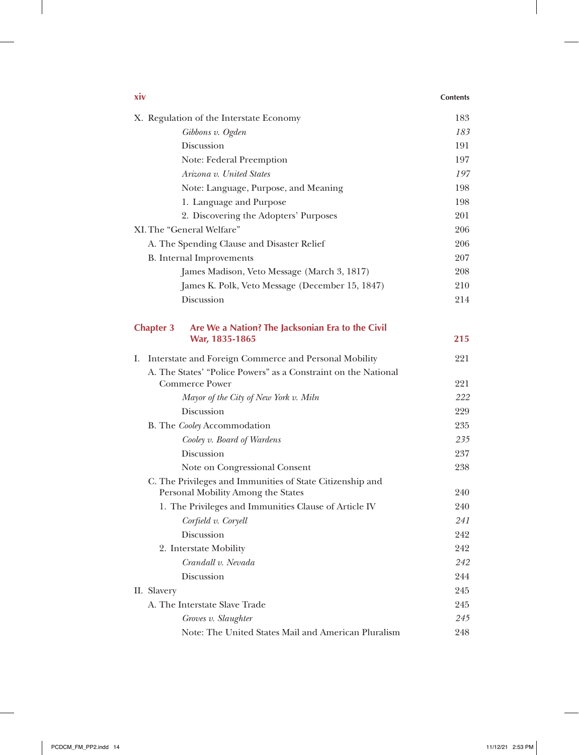| xiv                                                                                             | <b>Contents</b> |
|-------------------------------------------------------------------------------------------------|-----------------|
| X. Regulation of the Interstate Economy                                                         | 183             |
| Gibbons v. Ogden                                                                                | 183             |
| Discussion                                                                                      | 191             |
| Note: Federal Preemption                                                                        | 197             |
| Arizona v. United States                                                                        | 197             |
| Note: Language, Purpose, and Meaning                                                            | 198             |
| 1. Language and Purpose                                                                         | 198             |
| 2. Discovering the Adopters' Purposes                                                           | 201             |
| XI. The "General Welfare"                                                                       | 206             |
| A. The Spending Clause and Disaster Relief                                                      | 206             |
| <b>B.</b> Internal Improvements                                                                 | 207             |
| James Madison, Veto Message (March 3, 1817)                                                     | 208             |
| James K. Polk, Veto Message (December 15, 1847)                                                 | 210             |
| Discussion                                                                                      | 214             |
| Are We a Nation? The Jacksonian Era to the Civil<br><b>Chapter 3</b>                            |                 |
| War, 1835-1865                                                                                  | 215             |
| Interstate and Foreign Commerce and Personal Mobility<br>Ι.                                     | 221             |
| A. The States' "Police Powers" as a Constraint on the National                                  |                 |
| <b>Commerce Power</b>                                                                           | 221             |
| Mayor of the City of New York v. Miln                                                           | 222             |
| Discussion                                                                                      | 229             |
| B. The Cooley Accommodation                                                                     | 235             |
| Cooley v. Board of Wardens                                                                      | 235             |
| Discussion                                                                                      | 237             |
| Note on Congressional Consent                                                                   | 238             |
| C. The Privileges and Immunities of State Citizenship and<br>Personal Mobility Among the States | 240             |
| 1. The Privileges and Immunities Clause of Article IV                                           | 240             |
| Corfield v. Coryell                                                                             | 241             |
| Discussion                                                                                      | 242             |
| 2. Interstate Mobility                                                                          | 242             |
| Crandall v. Nevada                                                                              | 242             |
| Discussion                                                                                      | 244             |
| II. Slavery                                                                                     | 245             |
| A. The Interstate Slave Trade                                                                   | 245             |
| Groves v. Slaughter                                                                             | 245             |
| Note: The United States Mail and American Pluralism                                             | 248             |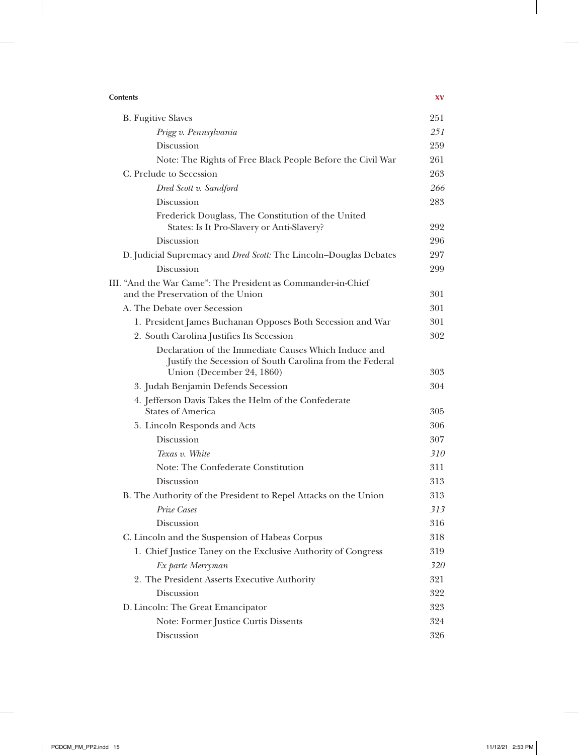| <b>Contents</b>                                                                                                                               | XV  |
|-----------------------------------------------------------------------------------------------------------------------------------------------|-----|
| <b>B.</b> Fugitive Slaves                                                                                                                     | 251 |
| Prigg v. Pennsylvania                                                                                                                         | 251 |
| Discussion                                                                                                                                    | 259 |
| Note: The Rights of Free Black People Before the Civil War                                                                                    | 261 |
| C. Prelude to Secession                                                                                                                       | 263 |
| Dred Scott v. Sandford                                                                                                                        | 266 |
| Discussion                                                                                                                                    | 283 |
| Frederick Douglass, The Constitution of the United<br>States: Is It Pro-Slavery or Anti-Slavery?                                              | 292 |
| Discussion                                                                                                                                    | 296 |
| D. Judicial Supremacy and Dred Scott: The Lincoln-Douglas Debates                                                                             | 297 |
| Discussion                                                                                                                                    | 299 |
| III. "And the War Came": The President as Commander-in-Chief                                                                                  |     |
| and the Preservation of the Union                                                                                                             | 301 |
| A. The Debate over Secession                                                                                                                  | 301 |
| 1. President James Buchanan Opposes Both Secession and War                                                                                    | 301 |
| 2. South Carolina Justifies Its Secession                                                                                                     | 302 |
| Declaration of the Immediate Causes Which Induce and<br>Justify the Secession of South Carolina from the Federal<br>Union (December 24, 1860) | 303 |
| 3. Judah Benjamin Defends Secession                                                                                                           | 304 |
| 4. Jefferson Davis Takes the Helm of the Confederate<br><b>States of America</b>                                                              | 305 |
| 5. Lincoln Responds and Acts                                                                                                                  | 306 |
| Discussion                                                                                                                                    | 307 |
| Texas v. White                                                                                                                                | 310 |
| Note: The Confederate Constitution                                                                                                            | 311 |
| Discussion                                                                                                                                    | 313 |
| B. The Authority of the President to Repel Attacks on the Union                                                                               | 313 |
| Prize Cases                                                                                                                                   | 313 |
| Discussion                                                                                                                                    | 316 |
| C. Lincoln and the Suspension of Habeas Corpus                                                                                                | 318 |
| 1. Chief Justice Taney on the Exclusive Authority of Congress                                                                                 | 319 |
| Ex parte Merryman                                                                                                                             | 320 |
| 2. The President Asserts Executive Authority                                                                                                  | 321 |
| Discussion                                                                                                                                    | 322 |
| D. Lincoln: The Great Emancipator                                                                                                             | 323 |
| Note: Former Justice Curtis Dissents                                                                                                          | 324 |
| Discussion                                                                                                                                    | 326 |

 $\mathbf{I}$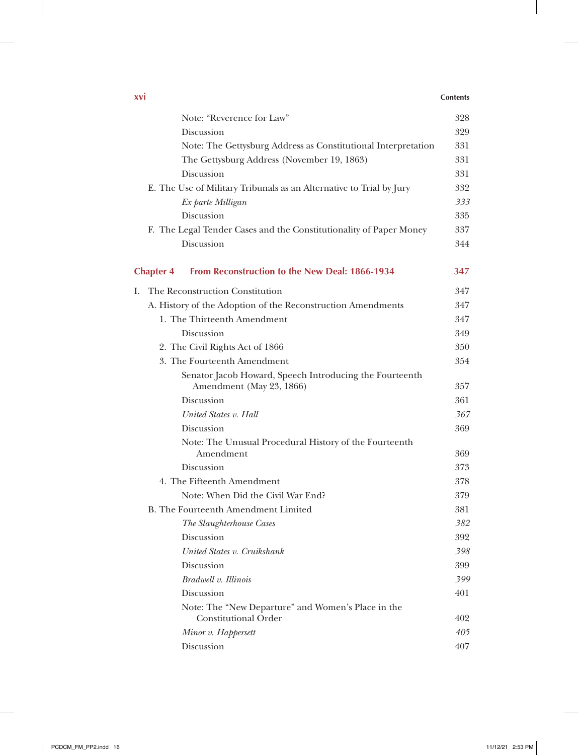## **xvi Contents**

 $\overline{1}$ 

|    | Note: "Reverence for Law"                                                           | 328 |
|----|-------------------------------------------------------------------------------------|-----|
|    | Discussion                                                                          | 329 |
|    | Note: The Gettysburg Address as Constitutional Interpretation                       | 331 |
|    | The Gettysburg Address (November 19, 1863)                                          | 331 |
|    | Discussion                                                                          | 331 |
|    | E. The Use of Military Tribunals as an Alternative to Trial by Jury                 | 332 |
|    | Ex parte Milligan                                                                   | 333 |
|    | Discussion                                                                          | 335 |
|    | F. The Legal Tender Cases and the Constitutionality of Paper Money                  | 337 |
|    | Discussion                                                                          | 344 |
|    | From Reconstruction to the New Deal: 1866-1934<br><b>Chapter 4</b>                  | 347 |
| I. | The Reconstruction Constitution                                                     | 347 |
|    | A. History of the Adoption of the Reconstruction Amendments                         | 347 |
|    | 1. The Thirteenth Amendment                                                         | 347 |
|    | Discussion                                                                          | 349 |
|    | 2. The Civil Rights Act of 1866                                                     | 350 |
|    | 3. The Fourteenth Amendment                                                         | 354 |
|    | Senator Jacob Howard, Speech Introducing the Fourteenth<br>Amendment (May 23, 1866) | 357 |
|    | Discussion                                                                          | 361 |
|    | United States v. Hall                                                               | 367 |
|    | Discussion                                                                          | 369 |
|    | Note: The Unusual Procedural History of the Fourteenth<br>Amendment                 | 369 |
|    | Discussion                                                                          | 373 |
|    | 4. The Fifteenth Amendment                                                          | 378 |
|    | Note: When Did the Civil War End?                                                   | 379 |
|    | <b>B.</b> The Fourteenth Amendment Limited                                          | 381 |
|    | The Slaughterhouse Cases                                                            | 382 |
|    | Discussion                                                                          | 392 |
|    | United States v. Cruikshank                                                         | 398 |
|    | Discussion                                                                          | 399 |
|    | Bradwell v. Illinois                                                                | 399 |
|    | Discussion                                                                          | 401 |
|    | Note: The "New Departure" and Women's Place in the<br><b>Constitutional Order</b>   | 402 |
|    | Minor v. Happersett                                                                 | 405 |
|    | Discussion                                                                          | 407 |
|    |                                                                                     |     |

 $\perp$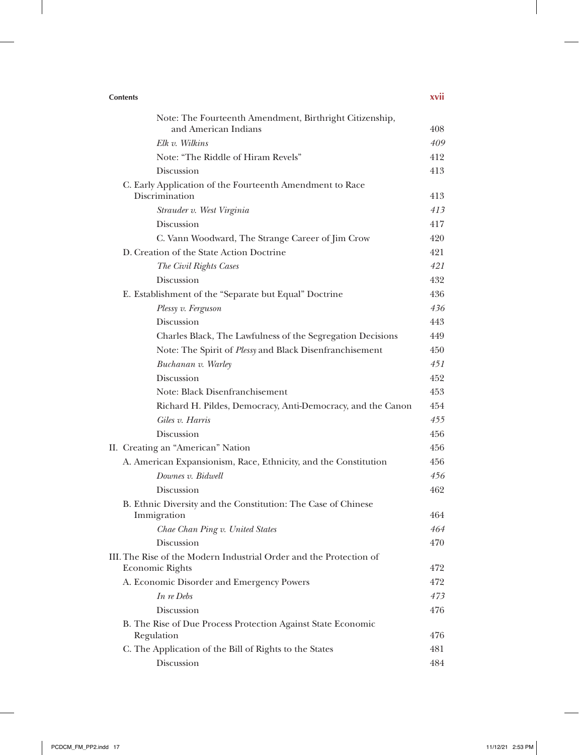| <b>Contents</b>                                                                              | xvii |
|----------------------------------------------------------------------------------------------|------|
| Note: The Fourteenth Amendment, Birthright Citizenship,                                      |      |
| and American Indians                                                                         | 408. |
| Elk v. Wilkins                                                                               | 409  |
| Note: "The Riddle of Hiram Revels"                                                           | 412  |
| Discussion                                                                                   | 413  |
| C. Early Application of the Fourteenth Amendment to Race<br>Discrimination                   | 413  |
| Strauder v. West Virginia                                                                    | 413  |
| <b>Discussion</b>                                                                            | 417  |
| C. Vann Woodward, The Strange Career of Jim Crow                                             | 420  |
| D. Creation of the State Action Doctrine                                                     | 421  |
| The Civil Rights Cases                                                                       | 421  |
| <b>Discussion</b>                                                                            | 432  |
| E. Establishment of the "Separate but Equal" Doctrine                                        | 436  |
| Plessy v. Ferguson                                                                           | 436  |
| <b>Discussion</b>                                                                            | 443  |
| Charles Black, The Lawfulness of the Segregation Decisions                                   | 449  |
| Note: The Spirit of Plessy and Black Disenfranchisement                                      | 450  |
| Buchanan v. Warley                                                                           | 451  |
| Discussion                                                                                   | 452  |
| Note: Black Disenfranchisement                                                               | 453  |
| Richard H. Pildes, Democracy, Anti-Democracy, and the Canon                                  | 454  |
| Giles v. Harris                                                                              | 455  |
| Discussion                                                                                   | 456  |
| II. Creating an "American" Nation                                                            | 456  |
| A. American Expansionism, Race, Ethnicity, and the Constitution                              | 456  |
| Downes v. Bidwell                                                                            | 456  |
| Discussion                                                                                   | 462  |
| B. Ethnic Diversity and the Constitution: The Case of Chinese                                |      |
| Immigration                                                                                  | 464  |
| Chae Chan Ping v. United States                                                              | 464  |
| Discussion                                                                                   | 470  |
| III. The Rise of the Modern Industrial Order and the Protection of<br><b>Economic Rights</b> | 472  |
| A. Economic Disorder and Emergency Powers                                                    | 472  |
| In re Debs                                                                                   | 473  |
| Discussion                                                                                   | 476  |
| B. The Rise of Due Process Protection Against State Economic                                 |      |
| Regulation                                                                                   | 476  |
| C. The Application of the Bill of Rights to the States                                       | 481  |
| Discussion                                                                                   | 484  |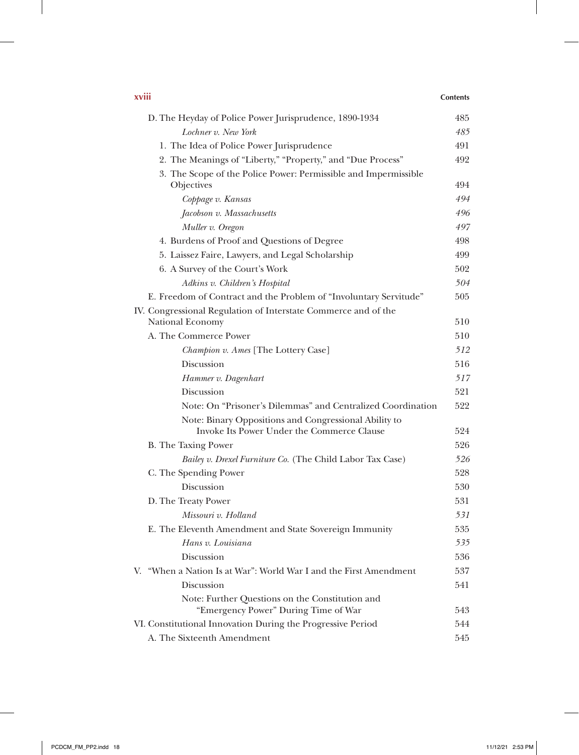| XVIII                                                                                               | <b>Contents</b> |
|-----------------------------------------------------------------------------------------------------|-----------------|
| D. The Heyday of Police Power Jurisprudence, 1890-1934                                              | 485             |
| Lochner v. New York                                                                                 | 485             |
| 1. The Idea of Police Power Jurisprudence                                                           | 491             |
| 2. The Meanings of "Liberty," "Property," and "Due Process"                                         | 492             |
| 3. The Scope of the Police Power: Permissible and Impermissible                                     |                 |
| Objectives                                                                                          | 494             |
| Coppage v. Kansas                                                                                   | 494             |
| Jacobson v. Massachusetts                                                                           | 496             |
| Muller v. Oregon                                                                                    | 497             |
| 4. Burdens of Proof and Questions of Degree                                                         | 498             |
| 5. Laissez Faire, Lawyers, and Legal Scholarship                                                    | 499             |
| 6. A Survey of the Court's Work                                                                     | 502             |
| Adkins v. Children's Hospital                                                                       | 504             |
| E. Freedom of Contract and the Problem of "Involuntary Servitude"                                   | 505             |
| IV. Congressional Regulation of Interstate Commerce and of the                                      |                 |
| National Economy                                                                                    | 510             |
| A. The Commerce Power                                                                               | 510             |
| Champion v. Ames [The Lottery Case]                                                                 | 512             |
| Discussion                                                                                          | 516             |
| Hammer v. Dagenhart                                                                                 | 517             |
| Discussion                                                                                          | 521             |
| Note: On "Prisoner's Dilemmas" and Centralized Coordination                                         | 522             |
| Note: Binary Oppositions and Congressional Ability to<br>Invoke Its Power Under the Commerce Clause | 524             |
| B. The Taxing Power                                                                                 | 526             |
| Bailey v. Drexel Furniture Co. (The Child Labor Tax Case)                                           | 526             |
| C. The Spending Power                                                                               | 528             |
| Discussion                                                                                          | 530             |
| D. The Treaty Power                                                                                 | 531             |
| Missouri v. Holland                                                                                 | 531             |
| E. The Eleventh Amendment and State Sovereign Immunity                                              | 535             |
| Hans v. Louisiana                                                                                   | 535             |
| Discussion                                                                                          | 536             |
| V. "When a Nation Is at War": World War I and the First Amendment                                   | 537             |
| Discussion                                                                                          | 541             |
| Note: Further Questions on the Constitution and                                                     |                 |
| "Emergency Power" During Time of War                                                                | 543             |
| VI. Constitutional Innovation During the Progressive Period                                         | 544             |
| A. The Sixteenth Amendment                                                                          | 545             |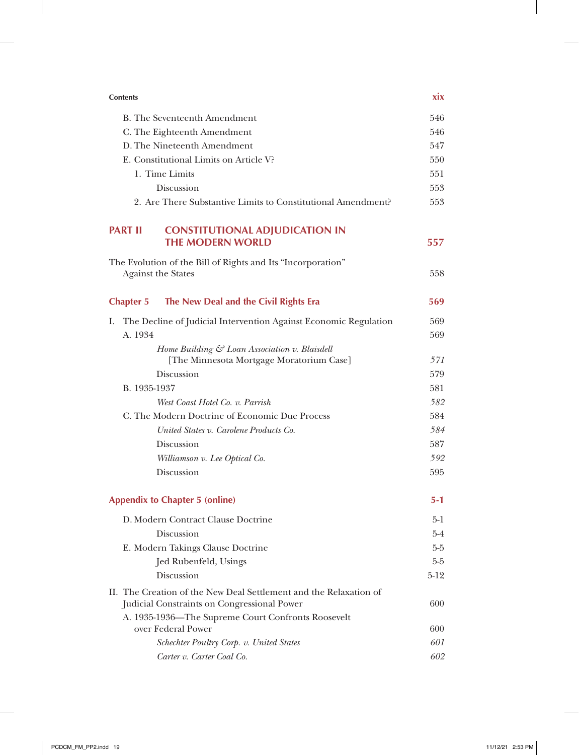| <b>Contents</b>                                                                                                  | xix        |
|------------------------------------------------------------------------------------------------------------------|------------|
| B. The Seventeenth Amendment                                                                                     | 546        |
| C. The Eighteenth Amendment                                                                                      | 546        |
| D. The Nineteenth Amendment                                                                                      | 547        |
| E. Constitutional Limits on Article V?                                                                           | 550        |
| 1. Time Limits                                                                                                   | 551        |
| Discussion                                                                                                       | 553        |
| 2. Are There Substantive Limits to Constitutional Amendment?                                                     | 553        |
| <b>CONSTITUTIONAL ADJUDICATION IN</b><br><b>PART II</b><br><b>THE MODERN WORLD</b>                               | 557        |
| The Evolution of the Bill of Rights and Its "Incorporation"<br><b>Against the States</b>                         | 558        |
| The New Deal and the Civil Rights Era<br><b>Chapter 5</b>                                                        | 569        |
| The Decline of Judicial Intervention Against Economic Regulation<br>Ι.                                           | 569        |
| A. 1934                                                                                                          | 569        |
| Home Building & Loan Association v. Blaisdell                                                                    |            |
| [The Minnesota Mortgage Moratorium Case]                                                                         | 571        |
| Discussion                                                                                                       | 579        |
| B. 1935-1937                                                                                                     | 581        |
| West Coast Hotel Co. v. Parrish<br>C. The Modern Doctrine of Economic Due Process                                | 582<br>584 |
| United States v. Carolene Products Co.                                                                           | 584        |
| Discussion                                                                                                       | 587        |
| Williamson v. Lee Optical Co.                                                                                    | 592        |
| Discussion                                                                                                       | 595        |
| <b>Appendix to Chapter 5 (online)</b>                                                                            | 5-1        |
| D. Modern Contract Clause Doctrine                                                                               | $5-1$      |
| Discussion                                                                                                       | $5 - 4$    |
| E. Modern Takings Clause Doctrine                                                                                | $5-5$      |
| Jed Rubenfeld, Usings                                                                                            | $5 - 5$    |
| Discussion                                                                                                       | $5-12$     |
| II. The Creation of the New Deal Settlement and the Relaxation of<br>Judicial Constraints on Congressional Power | 600        |
| A. 1935-1936—The Supreme Court Confronts Roosevelt                                                               |            |
| over Federal Power<br>Schechter Poultry Corp. v. United States                                                   | 600<br>601 |
| Carter v. Carter Coal Co.                                                                                        | 602        |
|                                                                                                                  |            |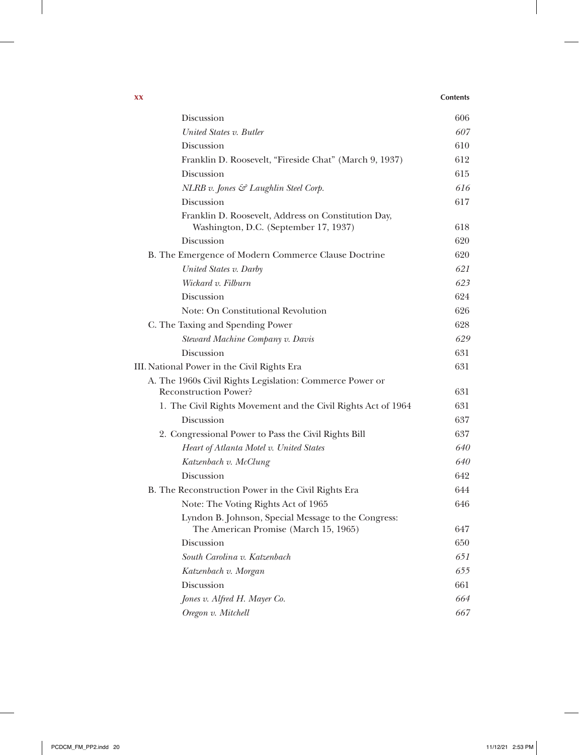## **xx Contents**

 $\overline{1}$ 

| Discussion                                                                                   | 606 |
|----------------------------------------------------------------------------------------------|-----|
| United States v. Butler                                                                      | 607 |
| Discussion                                                                                   | 610 |
| Franklin D. Roosevelt, "Fireside Chat" (March 9, 1937)                                       | 612 |
| Discussion                                                                                   | 615 |
| NLRB v. Jones & Laughlin Steel Corp.                                                         | 616 |
| Discussion                                                                                   | 617 |
| Franklin D. Roosevelt, Address on Constitution Day,<br>Washington, D.C. (September 17, 1937) | 618 |
| Discussion                                                                                   | 620 |
| B. The Emergence of Modern Commerce Clause Doctrine                                          | 620 |
| United States v. Darby                                                                       | 621 |
| Wickard v. Filburn                                                                           | 623 |
| Discussion                                                                                   | 624 |
| Note: On Constitutional Revolution                                                           | 626 |
| C. The Taxing and Spending Power                                                             | 628 |
| Steward Machine Company v. Davis                                                             | 629 |
| Discussion                                                                                   | 631 |
| III. National Power in the Civil Rights Era                                                  | 631 |
| A. The 1960s Civil Rights Legislation: Commerce Power or<br><b>Reconstruction Power?</b>     | 631 |
| 1. The Civil Rights Movement and the Civil Rights Act of 1964                                | 631 |
| Discussion                                                                                   | 637 |
| 2. Congressional Power to Pass the Civil Rights Bill                                         | 637 |
| Heart of Atlanta Motel v. United States                                                      | 640 |
| Katzenbach v. McClung                                                                        | 640 |
| Discussion                                                                                   | 642 |
| B. The Reconstruction Power in the Civil Rights Era                                          | 644 |
| Note: The Voting Rights Act of 1965                                                          | 646 |
| Lyndon B. Johnson, Special Message to the Congress:<br>The American Promise (March 15, 1965) | 647 |
| Discussion                                                                                   | 650 |
| South Carolina v. Katzenbach                                                                 | 651 |
| Katzenbach v. Morgan                                                                         | 655 |
| Discussion                                                                                   | 661 |
| Jones v. Alfred H. Mayer Co.                                                                 | 664 |
| Oregon v. Mitchell                                                                           | 667 |

 $\mathbf{I}$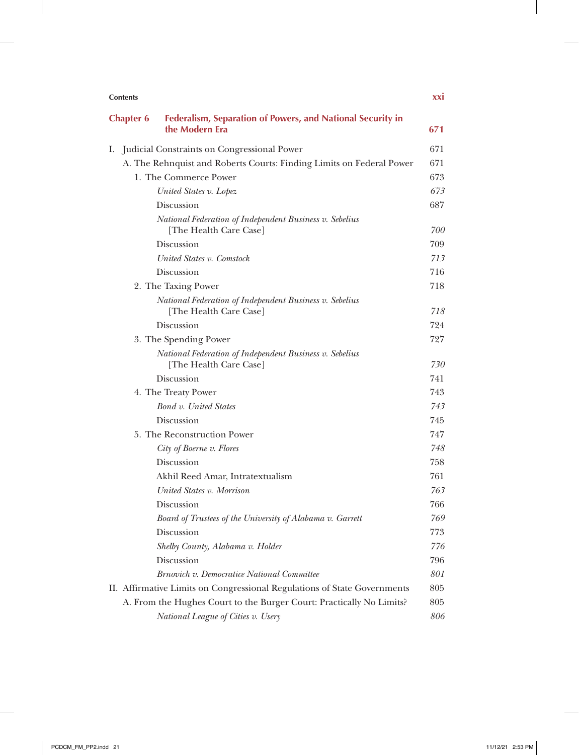| <b>Contents</b>  |                                                                                   | xxi |
|------------------|-----------------------------------------------------------------------------------|-----|
| <b>Chapter 6</b> | Federalism, Separation of Powers, and National Security in<br>the Modern Era      | 671 |
|                  | I. Judicial Constraints on Congressional Power                                    | 671 |
|                  | A. The Rehnquist and Roberts Courts: Finding Limits on Federal Power              | 671 |
|                  | 1. The Commerce Power                                                             | 673 |
|                  | United States v. Lopez                                                            | 673 |
|                  | Discussion                                                                        | 687 |
|                  | National Federation of Independent Business v. Sebelius<br>[The Health Care Case] | 700 |
|                  | Discussion                                                                        | 709 |
|                  | United States v. Comstock                                                         | 713 |
|                  | Discussion                                                                        | 716 |
|                  | 2. The Taxing Power                                                               | 718 |
|                  | National Federation of Independent Business v. Sebelius<br>[The Health Care Case] | 718 |
|                  | Discussion                                                                        | 724 |
|                  | 3. The Spending Power                                                             | 727 |
|                  | National Federation of Independent Business v. Sebelius<br>[The Health Care Case] | 730 |
|                  | Discussion                                                                        | 741 |
|                  | 4. The Treaty Power                                                               | 743 |
|                  | Bond v. United States                                                             | 743 |
|                  | Discussion                                                                        | 745 |
|                  | 5. The Reconstruction Power                                                       | 747 |
|                  | City of Boerne v. Flores                                                          | 748 |
|                  | Discussion                                                                        | 758 |
|                  | Akhil Reed Amar, Intratextualism                                                  | 761 |
|                  | United States v. Morrison                                                         | 763 |
|                  | Discussion                                                                        | 766 |
|                  | Board of Trustees of the University of Alabama v. Garrett                         | 769 |
|                  | Discussion                                                                        | 773 |
|                  | Shelby County, Alabama v. Holder                                                  | 776 |
|                  | Discussion                                                                        | 796 |
|                  | Brnovich v. Democratice National Committee                                        | 801 |
|                  | II. Affirmative Limits on Congressional Regulations of State Governments          | 805 |
|                  | A. From the Hughes Court to the Burger Court: Practically No Limits?              | 805 |
|                  | National League of Cities v. Usery                                                | 806 |

 $\mathbb{I}$ 

T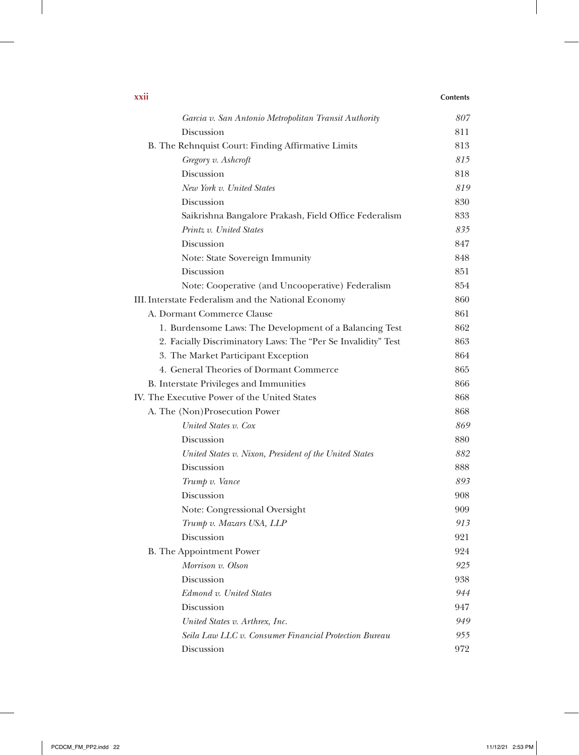| XXII                                                          | <b>Contents</b> |
|---------------------------------------------------------------|-----------------|
| Garcia v. San Antonio Metropolitan Transit Authority          | 807             |
| Discussion                                                    | 811             |
| B. The Rehnquist Court: Finding Affirmative Limits            | 813             |
| Gregory v. Ashcroft                                           | 815             |
| Discussion                                                    | 818             |
| New York v. United States                                     | 819             |
| Discussion                                                    | 830             |
| Saikrishna Bangalore Prakash, Field Office Federalism         | 833             |
| Printz v. United States                                       | 835             |
| Discussion                                                    | 847             |
| Note: State Sovereign Immunity                                | 848             |
| Discussion                                                    | 851             |
| Note: Cooperative (and Uncooperative) Federalism              | 854             |
| III. Interstate Federalism and the National Economy           | 860             |
| A. Dormant Commerce Clause                                    | 861             |
| 1. Burdensome Laws: The Development of a Balancing Test       | 862             |
| 2. Facially Discriminatory Laws: The "Per Se Invalidity" Test | 863             |
| 3. The Market Participant Exception                           | 864             |
| 4. General Theories of Dormant Commerce                       | 865             |
| <b>B.</b> Interstate Privileges and Immunities                | 866             |
| IV. The Executive Power of the United States                  | 868             |
| A. The (Non)Prosecution Power                                 | 868             |
| United States v. Cox                                          | 869             |
| Discussion                                                    | 880             |
| United States v. Nixon, President of the United States        | 882             |
| Discussion                                                    | 888             |
| Trump v. Vance                                                | 893             |
| Discussion                                                    | 908             |
| Note: Congressional Oversight                                 | 909             |
| Trump v. Mazars USA, LLP                                      | 913             |
| Discussion                                                    | 921             |
| B. The Appointment Power                                      | 924             |
| Morrison v. Olson                                             | 925             |
| Discussion                                                    | 938             |
| Edmond v. United States                                       | 944             |
| Discussion                                                    | 947             |
| United States v. Arthrex, Inc.                                | 949             |
| Seila Law LLC v. Consumer Financial Protection Bureau         | 955             |
| Discussion                                                    | 972             |

 $\mathbf{I}$ 

 $\overline{\phantom{a}}$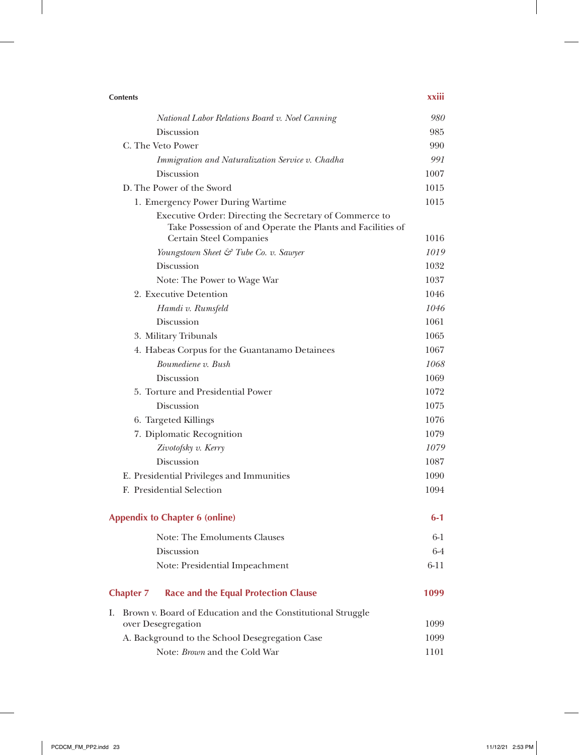| <b>Contents</b>                                                                                                                                          | xxiii   |
|----------------------------------------------------------------------------------------------------------------------------------------------------------|---------|
| National Labor Relations Board v. Noel Canning                                                                                                           | 980     |
| Discussion                                                                                                                                               | 985     |
| C. The Veto Power                                                                                                                                        | 990     |
| Immigration and Naturalization Service v. Chadha                                                                                                         | 991     |
| Discussion                                                                                                                                               | 1007    |
| D. The Power of the Sword                                                                                                                                | 1015    |
| 1. Emergency Power During Wartime                                                                                                                        | 1015    |
| Executive Order: Directing the Secretary of Commerce to<br>Take Possession of and Operate the Plants and Facilities of<br><b>Certain Steel Companies</b> | 1016    |
| Youngstown Sheet & Tube Co. v. Sawyer                                                                                                                    | 1019    |
| Discussion                                                                                                                                               | 1032    |
| Note: The Power to Wage War                                                                                                                              | 1037    |
| 2. Executive Detention                                                                                                                                   | 1046    |
| Hamdi v. Rumsfeld                                                                                                                                        | 1046    |
| Discussion                                                                                                                                               | 1061    |
| 3. Military Tribunals                                                                                                                                    | 1065    |
| 4. Habeas Corpus for the Guantanamo Detainees                                                                                                            | 1067    |
| Boumediene v. Bush                                                                                                                                       | 1068    |
| Discussion                                                                                                                                               | 1069    |
| 5. Torture and Presidential Power                                                                                                                        | 1072    |
| Discussion                                                                                                                                               | 1075    |
| 6. Targeted Killings                                                                                                                                     | 1076    |
| 7. Diplomatic Recognition                                                                                                                                | 1079    |
| Zivotofsky v. Kerry                                                                                                                                      | 1079    |
| Discussion                                                                                                                                               | 1087    |
| E. Presidential Privileges and Immunities                                                                                                                | 1090    |
| F. Presidential Selection                                                                                                                                | 1094    |
| <b>Appendix to Chapter 6 (online)</b>                                                                                                                    | $6-1$   |
| Note: The Emoluments Clauses                                                                                                                             | $6-1$   |
| Discussion                                                                                                                                               | $6 - 4$ |
| Note: Presidential Impeachment                                                                                                                           | $6-11$  |
| <b>Race and the Equal Protection Clause</b><br><b>Chapter 7</b>                                                                                          | 1099    |
| Brown v. Board of Education and the Constitutional Struggle<br>L.                                                                                        |         |
| over Desegregation                                                                                                                                       | 1099    |
| A. Background to the School Desegregation Case                                                                                                           | 1099    |
| Note: Brown and the Cold War                                                                                                                             | 1101    |

 $\overline{\phantom{a}}$ 

 $\mathbf{I}$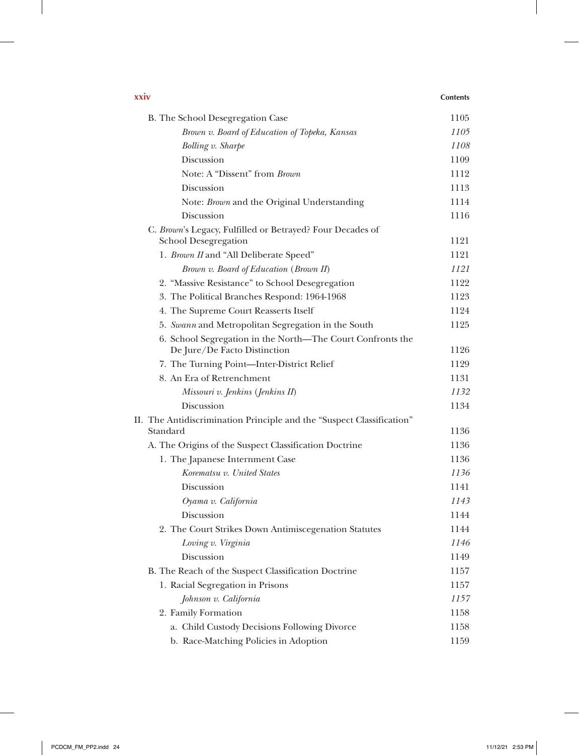| xxiv |                                                                                          | <b>Contents</b> |
|------|------------------------------------------------------------------------------------------|-----------------|
|      | B. The School Desegregation Case                                                         | 1105            |
|      | Brown v. Board of Education of Topeka, Kansas                                            | 1105            |
|      | <b>Bolling v. Sharpe</b>                                                                 | 1108            |
|      | Discussion                                                                               | 1109            |
|      | Note: A "Dissent" from Brown                                                             | 1112            |
|      | Discussion                                                                               | 1113            |
|      | Note: Brown and the Original Understanding                                               | 1114            |
|      | Discussion                                                                               | 1116            |
|      | C. Brown's Legacy, Fulfilled or Betrayed? Four Decades of<br><b>School Desegregation</b> | 1121            |
|      | 1. Brown II and "All Deliberate Speed"                                                   | 1121            |
|      | Brown v. Board of Education (Brown II)                                                   | 1121            |
|      | 2. "Massive Resistance" to School Desegregation                                          | 1122            |
|      | 3. The Political Branches Respond: 1964-1968                                             | 1123            |
|      | 4. The Supreme Court Reasserts Itself                                                    | 1124            |
|      | 5. Swann and Metropolitan Segregation in the South                                       | 1125            |
|      | 6. School Segregation in the North—The Court Confronts the                               |                 |
|      | De Jure/De Facto Distinction                                                             | 1126            |
|      | 7. The Turning Point-Inter-District Relief                                               | 1129            |
|      | 8. An Era of Retrenchment                                                                | 1131            |
|      | Missouri v. Jenkins (Jenkins II)                                                         | 1132            |
|      | Discussion                                                                               | 1134            |
|      | II. The Antidiscrimination Principle and the "Suspect Classification"<br>Standard        | 1136            |
|      | A. The Origins of the Suspect Classification Doctrine                                    | 1136            |
|      | 1. The Japanese Internment Case                                                          | 1136            |
|      | Korematsu v. United States                                                               | 1136            |
|      | Discussion                                                                               | 1141            |
|      | Oyama v. California                                                                      | 1143            |
|      | Discussion                                                                               | 1144            |
|      | 2. The Court Strikes Down Antimiscegenation Statutes                                     | 1144            |
|      | Loving v. Virginia                                                                       | 1146            |
|      | Discussion                                                                               | 1149            |
|      | B. The Reach of the Suspect Classification Doctrine                                      | 1157            |
|      | 1. Racial Segregation in Prisons                                                         | 1157            |
|      | Johnson v. California                                                                    | 1157            |
|      | 2. Family Formation                                                                      | 1158            |
|      | a. Child Custody Decisions Following Divorce                                             | 1158            |
|      | b. Race-Matching Policies in Adoption                                                    | 1159            |

 $\overline{\phantom{a}}$ 

 $\overline{\phantom{a}}$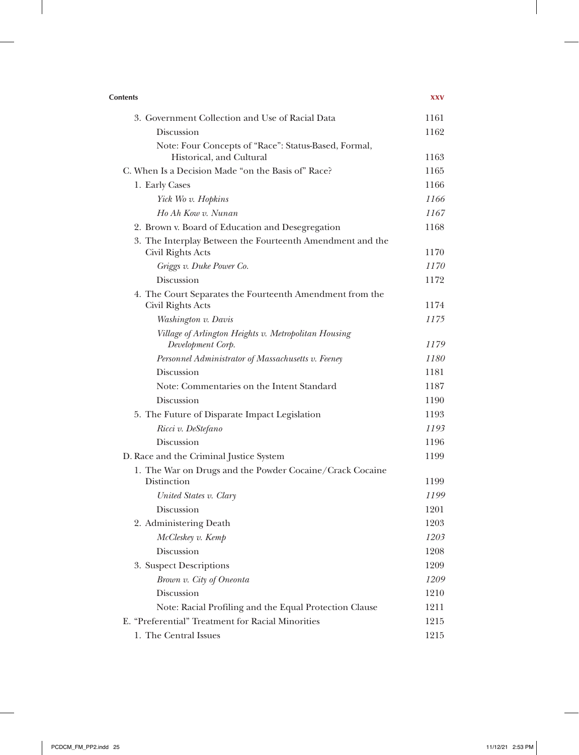| <b>Contents</b>                                                                  | <b>XXV</b> |
|----------------------------------------------------------------------------------|------------|
| 3. Government Collection and Use of Racial Data                                  | 1161       |
| Discussion                                                                       | 1162       |
| Note: Four Concepts of "Race": Status-Based, Formal,<br>Historical, and Cultural | 1163       |
| C. When Is a Decision Made "on the Basis of" Race?                               | 1165       |
| 1. Early Cases                                                                   | 1166       |
| Yick Wo v. Hopkins                                                               | 1166       |
| Ho Ah Kow v. Nunan                                                               | 1167       |
| 2. Brown v. Board of Education and Desegregation                                 | 1168       |
| 3. The Interplay Between the Fourteenth Amendment and the<br>Civil Rights Acts   | 1170       |
| Griggs v. Duke Power Co.                                                         | 1170       |
| Discussion                                                                       | 1172       |
| 4. The Court Separates the Fourteenth Amendment from the                         |            |
| Civil Rights Acts                                                                | 1174       |
| Washington v. Davis                                                              | 1175       |
| Village of Arlington Heights v. Metropolitan Housing<br>Development Corp.        | 1179       |
| Personnel Administrator of Massachusetts v. Feeney                               | 1180       |
| Discussion                                                                       | 1181       |
| Note: Commentaries on the Intent Standard                                        | 1187       |
| Discussion                                                                       | 1190       |
| 5. The Future of Disparate Impact Legislation                                    | 1193       |
| Ricci v. DeStefano                                                               | 1193       |
| Discussion                                                                       | 1196       |
| D. Race and the Criminal Justice System                                          | 1199       |
| 1. The War on Drugs and the Powder Cocaine/Crack Cocaine                         |            |
| Distinction                                                                      | 1199       |
| United States v. Clary                                                           | 1199       |
| <b>Discussion</b>                                                                | 1201       |
| 2. Administering Death                                                           | 1203       |
| McCleskey v. Kemp                                                                | 1203       |
| Discussion                                                                       | 1208       |
| 3. Suspect Descriptions                                                          | 1209       |
| Brown v. City of Oneonta                                                         | 1209       |
| Discussion                                                                       | 1210       |
| Note: Racial Profiling and the Equal Protection Clause                           | 1211       |
| E. "Preferential" Treatment for Racial Minorities                                | 1215       |
| 1. The Central Issues                                                            | 1215       |

 $\overline{\phantom{a}}$ 

 $\overline{\phantom{a}}$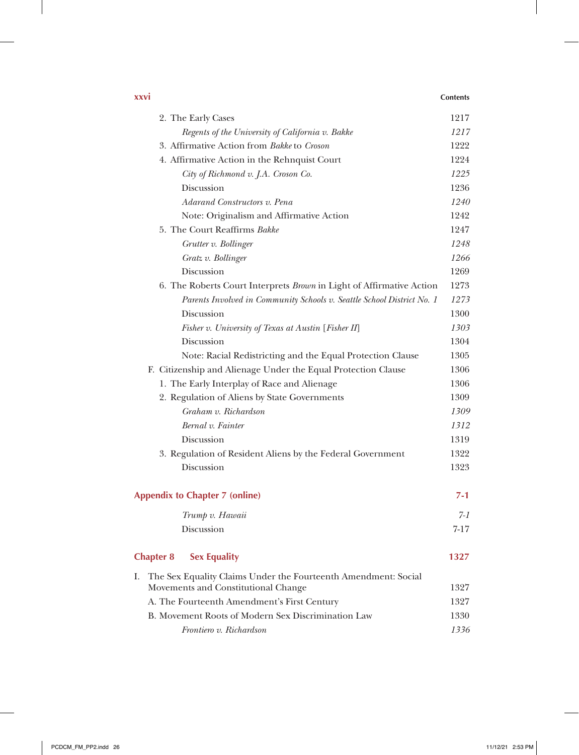## **xxvi Contents**

 $\overline{1}$ 

|    | 2. The Early Cases                                                     | 1217     |
|----|------------------------------------------------------------------------|----------|
|    | Regents of the University of California v. Bakke                       | 1217     |
|    | 3. Affirmative Action from Bakke to Croson                             | 1222     |
|    | 4. Affirmative Action in the Rehnquist Court                           | 1224     |
|    | City of Richmond v. J.A. Croson Co.                                    | 1225     |
|    | Discussion                                                             | 1236     |
|    | Adarand Constructors v. Pena                                           | 1240     |
|    | Note: Originalism and Affirmative Action                               | 1242     |
|    | 5. The Court Reaffirms Bakke                                           | 1247     |
|    | Grutter v. Bollinger                                                   | 1248     |
|    | Gratz v. Bollinger                                                     | 1266     |
|    | Discussion                                                             | 1269     |
|    | 6. The Roberts Court Interprets Brown in Light of Affirmative Action   | 1273     |
|    | Parents Involved in Community Schools v. Seattle School District No. 1 | 1273     |
|    | Discussion                                                             | 1300     |
|    | Fisher v. University of Texas at Austin [Fisher II]                    | 1303     |
|    | Discussion                                                             | 1304     |
|    | Note: Racial Redistricting and the Equal Protection Clause             | 1305     |
|    | F. Citizenship and Alienage Under the Equal Protection Clause          | 1306     |
|    | 1. The Early Interplay of Race and Alienage                            | 1306     |
|    | 2. Regulation of Aliens by State Governments                           | 1309     |
|    | Graham v. Richardson                                                   | 1309     |
|    | Bernal v. Fainter                                                      | 1312     |
|    | Discussion                                                             | 1319     |
|    | 3. Regulation of Resident Aliens by the Federal Government             | 1322     |
|    | Discussion                                                             | 1323     |
|    |                                                                        |          |
|    | <b>Appendix to Chapter 7 (online)</b>                                  | $7 - 1$  |
|    | Trump v. Hawaii                                                        | $7 - 1$  |
|    | Discussion                                                             | $7 - 17$ |
|    |                                                                        |          |
|    | <b>Chapter 8</b><br><b>Sex Equality</b>                                | 1327     |
| I. | The Sex Equality Claims Under the Fourteenth Amendment: Social         |          |
|    | Movements and Constitutional Change                                    | 1327     |
|    | A. The Fourteenth Amendment's First Century                            | 1327     |
|    | B. Movement Roots of Modern Sex Discrimination Law                     | 1330     |
|    | Frontiero v. Richardson                                                | 1336     |
|    |                                                                        |          |

 $\perp$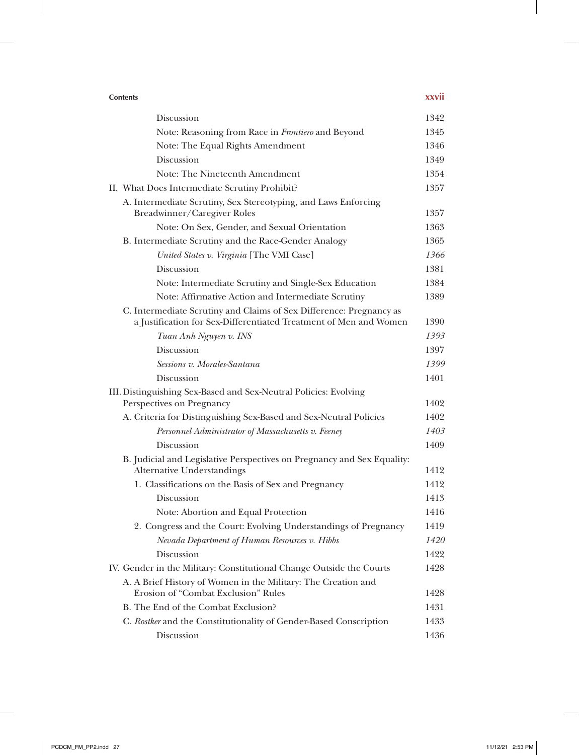| <b>Contents</b>                                                                                                                          | xxvii |
|------------------------------------------------------------------------------------------------------------------------------------------|-------|
| Discussion                                                                                                                               | 1342  |
| Note: Reasoning from Race in Frontiero and Beyond                                                                                        | 1345  |
| Note: The Equal Rights Amendment                                                                                                         | 1346  |
| Discussion                                                                                                                               | 1349  |
| Note: The Nineteenth Amendment                                                                                                           | 1354  |
| II. What Does Intermediate Scrutiny Prohibit?                                                                                            | 1357  |
| A. Intermediate Scrutiny, Sex Stereotyping, and Laws Enforcing<br>Breadwinner/Caregiver Roles                                            | 1357  |
| Note: On Sex, Gender, and Sexual Orientation                                                                                             | 1363  |
| B. Intermediate Scrutiny and the Race-Gender Analogy                                                                                     | 1365  |
| United States v. Virginia [The VMI Case]                                                                                                 | 1366  |
| Discussion                                                                                                                               | 1381  |
| Note: Intermediate Scrutiny and Single-Sex Education                                                                                     | 1384  |
| Note: Affirmative Action and Intermediate Scrutiny                                                                                       | 1389  |
| C. Intermediate Scrutiny and Claims of Sex Difference: Pregnancy as<br>a Justification for Sex-Differentiated Treatment of Men and Women | 1390  |
| Tuan Anh Nguyen v. INS                                                                                                                   | 1393  |
| Discussion                                                                                                                               | 1397  |
| Sessions v. Morales-Santana                                                                                                              | 1399  |
| Discussion                                                                                                                               | 1401  |
| III. Distinguishing Sex-Based and Sex-Neutral Policies: Evolving<br>Perspectives on Pregnancy                                            | 1402  |
| A. Criteria for Distinguishing Sex-Based and Sex-Neutral Policies                                                                        | 1402  |
| Personnel Administrator of Massachusetts v. Feeney                                                                                       | 1403  |
| Discussion                                                                                                                               | 1409  |
| B. Judicial and Legislative Perspectives on Pregnancy and Sex Equality:<br><b>Alternative Understandings</b>                             | 1412  |
| 1. Classifications on the Basis of Sex and Pregnancy                                                                                     | 1412  |
| Discussion                                                                                                                               | 1413  |
| Note: Abortion and Equal Protection                                                                                                      | 1416  |
| 2. Congress and the Court: Evolving Understandings of Pregnancy                                                                          | 1419  |
| Nevada Department of Human Resources v. Hibbs                                                                                            | 1420  |
| Discussion                                                                                                                               | 1422  |
| IV. Gender in the Military: Constitutional Change Outside the Courts                                                                     | 1428  |
| A. A Brief History of Women in the Military: The Creation and<br>Erosion of "Combat Exclusion" Rules                                     | 1428  |
| B. The End of the Combat Exclusion?                                                                                                      | 1431  |
| C. Rostker and the Constitutionality of Gender-Based Conscription                                                                        | 1433  |
| Discussion                                                                                                                               | 1436  |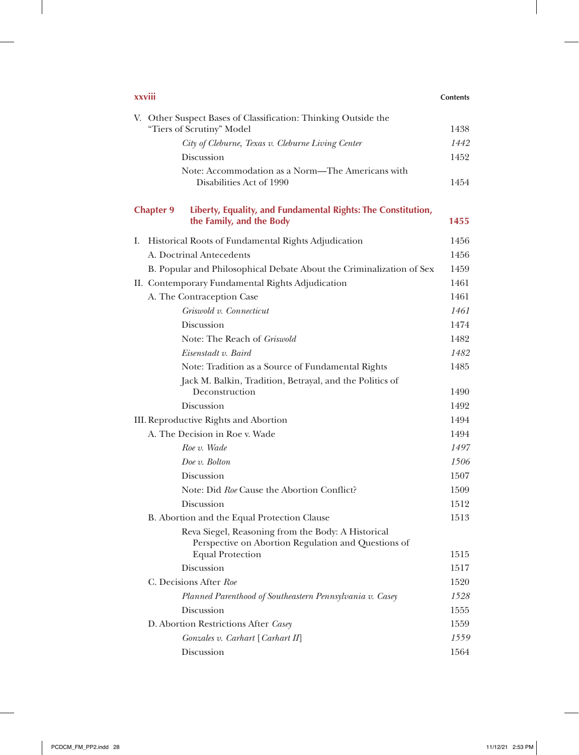| xxviii                                                                                                                               | <b>Contents</b> |
|--------------------------------------------------------------------------------------------------------------------------------------|-----------------|
| V. Other Suspect Bases of Classification: Thinking Outside the<br>"Tiers of Scrutiny" Model                                          | 1438            |
| City of Cleburne, Texas v. Cleburne Living Center                                                                                    | 1442            |
| Discussion                                                                                                                           | 1452            |
| Note: Accommodation as a Norm—The Americans with<br>Disabilities Act of 1990                                                         | 1454            |
| <b>Chapter 9</b><br>Liberty, Equality, and Fundamental Rights: The Constitution,<br>the Family, and the Body                         | 1455            |
| Historical Roots of Fundamental Rights Adjudication<br>I.                                                                            | 1456            |
| A. Doctrinal Antecedents                                                                                                             | 1456            |
| B. Popular and Philosophical Debate About the Criminalization of Sex                                                                 | 1459            |
| II. Contemporary Fundamental Rights Adjudication                                                                                     | 1461            |
| A. The Contraception Case                                                                                                            | 1461            |
| Griswold v. Connecticut                                                                                                              | 1461            |
| Discussion                                                                                                                           | 1474            |
| Note: The Reach of <i>Griswold</i>                                                                                                   | 1482            |
| Eisenstadt v. Baird                                                                                                                  | 1482            |
| Note: Tradition as a Source of Fundamental Rights                                                                                    | 1485            |
| Jack M. Balkin, Tradition, Betrayal, and the Politics of<br>Deconstruction                                                           | 1490            |
| Discussion                                                                                                                           | 1492            |
| III. Reproductive Rights and Abortion                                                                                                | 1494            |
| A. The Decision in Roe v. Wade                                                                                                       | 1494            |
| Roe v. Wade                                                                                                                          | 1497            |
| Doe v. Bolton                                                                                                                        | 1506            |
| Discussion                                                                                                                           | 1507            |
| Note: Did Roe Cause the Abortion Conflict?                                                                                           | 1509            |
| Discussion                                                                                                                           | 1512            |
| B. Abortion and the Equal Protection Clause                                                                                          | 1513            |
| Reva Siegel, Reasoning from the Body: A Historical<br>Perspective on Abortion Regulation and Questions of<br><b>Equal Protection</b> | 1515            |
| Discussion                                                                                                                           | 1517            |
| C. Decisions After Roe                                                                                                               | 1520            |
| Planned Parenthood of Southeastern Pennsylvania v. Casey                                                                             | 1528            |
| Discussion                                                                                                                           | 1555            |
| D. Abortion Restrictions After Casey                                                                                                 | 1559            |
| Gonzales v. Carhart [Carhart II]                                                                                                     | 1559            |
| Discussion                                                                                                                           | 1564            |
|                                                                                                                                      |                 |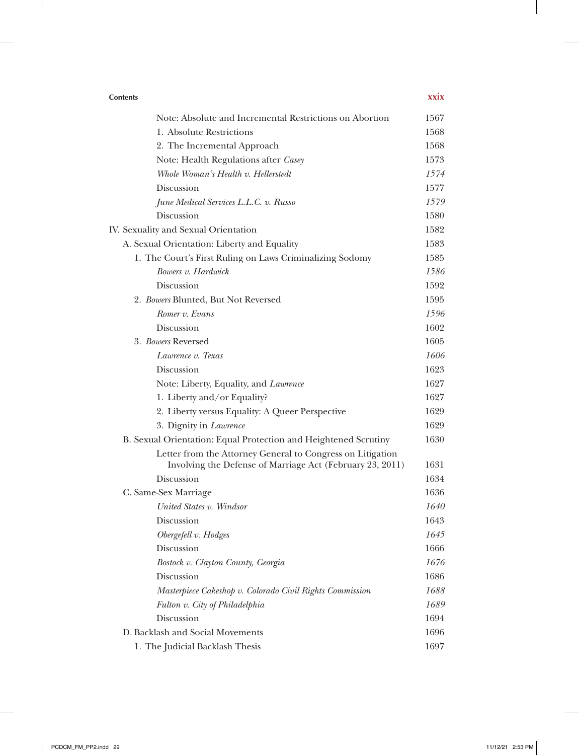| <b>Contents</b>                                                                                                         | xxix |
|-------------------------------------------------------------------------------------------------------------------------|------|
| Note: Absolute and Incremental Restrictions on Abortion                                                                 | 1567 |
| 1. Absolute Restrictions                                                                                                | 1568 |
| 2. The Incremental Approach                                                                                             | 1568 |
| Note: Health Regulations after Casey                                                                                    | 1573 |
| Whole Woman's Health v. Hellerstedt                                                                                     | 1574 |
| Discussion                                                                                                              | 1577 |
| June Medical Services L.L.C. v. Russo                                                                                   | 1579 |
| Discussion                                                                                                              | 1580 |
| IV. Sexuality and Sexual Orientation                                                                                    | 1582 |
| A. Sexual Orientation: Liberty and Equality                                                                             | 1583 |
| 1. The Court's First Ruling on Laws Criminalizing Sodomy                                                                | 1585 |
| Bowers v. Hardwick                                                                                                      | 1586 |
| Discussion                                                                                                              | 1592 |
| 2. Bowers Blunted, But Not Reversed                                                                                     | 1595 |
| Romer v. Evans                                                                                                          | 1596 |
| Discussion                                                                                                              | 1602 |
| 3. Bowers Reversed                                                                                                      | 1605 |
| Lawrence v. Texas                                                                                                       | 1606 |
| Discussion                                                                                                              | 1623 |
| Note: Liberty, Equality, and Lawrence                                                                                   | 1627 |
| 1. Liberty and/or Equality?                                                                                             | 1627 |
| 2. Liberty versus Equality: A Queer Perspective                                                                         | 1629 |
| 3. Dignity in Lawrence                                                                                                  | 1629 |
| B. Sexual Orientation: Equal Protection and Heightened Scrutiny                                                         | 1630 |
| Letter from the Attorney General to Congress on Litigation<br>Involving the Defense of Marriage Act (February 23, 2011) | 1631 |
| Discussion                                                                                                              | 1634 |
| C. Same-Sex Marriage                                                                                                    | 1636 |
| United States v. Windsor                                                                                                | 1640 |
| Discussion                                                                                                              | 1643 |
| Obergefell v. Hodges                                                                                                    | 1645 |
| <b>Discussion</b>                                                                                                       | 1666 |
| Bostock v. Clayton County, Georgia                                                                                      | 1676 |
| Discussion                                                                                                              | 1686 |
| Masterpiece Cakeshop v. Colorado Civil Rights Commission                                                                | 1688 |
| Fulton v. City of Philadelphia                                                                                          | 1689 |
| Discussion                                                                                                              | 1694 |
| D. Backlash and Social Movements                                                                                        | 1696 |
| 1. The Judicial Backlash Thesis                                                                                         | 1697 |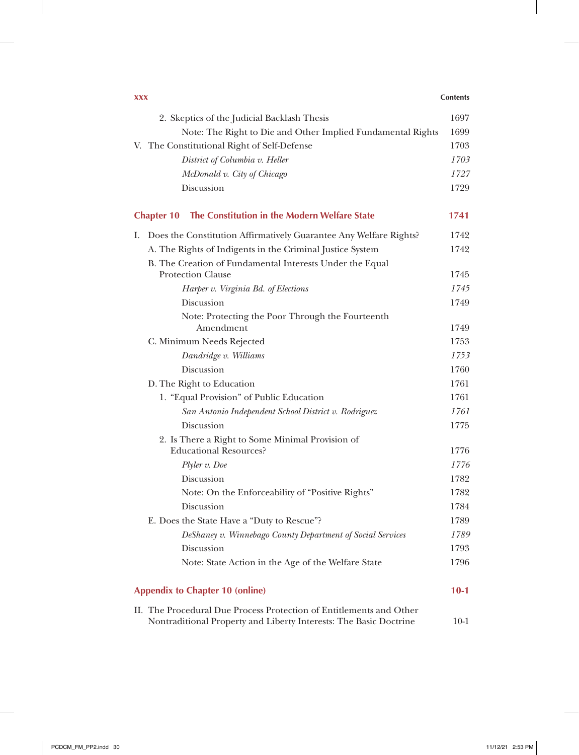| <b>XXX</b>                                                                        | <b>Contents</b> |
|-----------------------------------------------------------------------------------|-----------------|
| 2. Skeptics of the Judicial Backlash Thesis                                       | 1697            |
| Note: The Right to Die and Other Implied Fundamental Rights                       | 1699            |
| V. The Constitutional Right of Self-Defense                                       | 1703            |
| District of Columbia v. Heller                                                    | 1703            |
| McDonald v. City of Chicago                                                       | 1727            |
| Discussion                                                                        | 1729            |
| The Constitution in the Modern Welfare State<br><b>Chapter 10</b>                 | 1741            |
| Does the Constitution Affirmatively Guarantee Any Welfare Rights?<br>I.           | 1742            |
| A. The Rights of Indigents in the Criminal Justice System                         | 1742            |
| B. The Creation of Fundamental Interests Under the Equal                          |                 |
| <b>Protection Clause</b>                                                          | 1745            |
| Harper v. Virginia Bd. of Elections                                               | 1745            |
| Discussion                                                                        | 1749            |
| Note: Protecting the Poor Through the Fourteenth                                  |                 |
| Amendment                                                                         | 1749            |
| C. Minimum Needs Rejected                                                         | 1753            |
| Dandridge v. Williams                                                             | 1753            |
| Discussion                                                                        | 1760            |
| D. The Right to Education                                                         | 1761            |
| 1. "Equal Provision" of Public Education                                          | 1761            |
| San Antonio Independent School District v. Rodriguez                              | 1761            |
| Discussion                                                                        | 1775            |
| 2. Is There a Right to Some Minimal Provision of<br><b>Educational Resources?</b> | 1776            |
| Plyler v. Doe                                                                     | 1776            |
| Discussion                                                                        | 1782            |
| Note: On the Enforceability of "Positive Rights"                                  | 1782            |
| Discussion                                                                        | 1784            |
| E. Does the State Have a "Duty to Rescue"?                                        | 1789            |
| DeShaney v. Winnebago County Department of Social Services                        | 1789            |
| Discussion                                                                        | 1793            |
| Note: State Action in the Age of the Welfare State                                | 1796            |
| <b>Appendix to Chapter 10 (online)</b>                                            | $10-1$          |
| II. The Procedural Due Process Protection of Entitlements and Other               |                 |
| Nontraditional Property and Liberty Interests: The Basic Doctrine                 | $10-1$          |